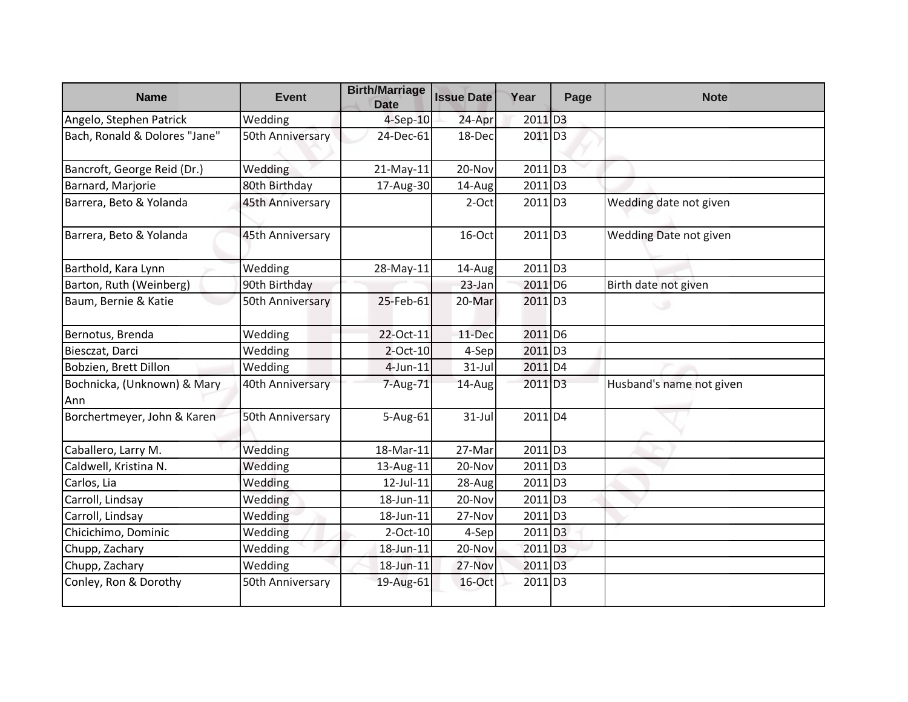| <b>Name</b>                        | <b>Event</b>     | <b>Birth/Marriage</b><br><b>Date</b> | <b>Issue Date</b> | Year                  | Page | <b>Note</b>              |
|------------------------------------|------------------|--------------------------------------|-------------------|-----------------------|------|--------------------------|
| Angelo, Stephen Patrick            | Wedding          | 4-Sep-10                             | 24-Apr            | 2011 D3               |      |                          |
| Bach, Ronald & Dolores "Jane"      | 50th Anniversary | 24-Dec-61                            | 18-Dec            | 2011 D3               |      |                          |
| Bancroft, George Reid (Dr.)        | Wedding          | 21-May-11                            | 20-Nov            | $2011$ D <sub>3</sub> |      |                          |
| Barnard, Marjorie                  | 80th Birthday    | 17-Aug-30                            | 14-Aug            | 2011 D3               |      |                          |
| Barrera, Beto & Yolanda            | 45th Anniversary |                                      | 2-Oct             | 2011 D3               |      | Wedding date not given   |
| Barrera, Beto & Yolanda            | 45th Anniversary |                                      | 16-Oct            | 2011 D3               |      | Wedding Date not given   |
| Barthold, Kara Lynn                | Wedding          | 28-May-11                            | 14-Aug            | 2011 D3               |      |                          |
| Barton, Ruth (Weinberg)            | 90th Birthday    |                                      | 23-Jan            | $2011$ D <sub>6</sub> |      | Birth date not given     |
| Baum, Bernie & Katie               | 50th Anniversary | 25-Feb-61                            | 20-Mar            | $2011$ D <sub>3</sub> |      |                          |
| Bernotus, Brenda                   | Wedding          | 22-Oct-11                            | 11-Dec            | 2011 D6               |      |                          |
| Biesczat, Darci                    | Wedding          | $2$ -Oct-10                          | 4-Sep             | $2011$ D <sub>3</sub> |      |                          |
| Bobzien, Brett Dillon              | Wedding          | $4$ -Jun-11                          | $31$ -Jul         | 2011 D4               |      |                          |
| Bochnicka, (Unknown) & Mary<br>Ann | 40th Anniversary | 7-Aug-71                             | 14-Aug            | $2011$ D <sub>3</sub> |      | Husband's name not given |
| Borchertmeyer, John & Karen        | 50th Anniversary | 5-Aug-61                             | $31$ -Jul         | 2011 D4               |      |                          |
| Caballero, Larry M.                | Wedding          | 18-Mar-11                            | 27-Mar            | 2011 D3               |      |                          |
| Caldwell, Kristina N.              | Wedding          | 13-Aug-11                            | 20-Nov            | $2011$ D <sub>3</sub> |      |                          |
| Carlos, Lia                        | Wedding          | 12-Jul-11                            | 28-Aug            | $2011$ D <sub>3</sub> |      |                          |
| Carroll, Lindsay                   | Wedding          | 18-Jun-11                            | 20-Nov            | 2011 D3               |      |                          |
| Carroll, Lindsay                   | Wedding          | 18-Jun-11                            | 27-Nov            | $2011$ D <sub>3</sub> |      |                          |
| Chicichimo, Dominic                | Wedding          | $2$ -Oct-10                          | 4-Sep             | $2011$ D <sub>3</sub> |      |                          |
| Chupp, Zachary                     | Wedding          | 18-Jun-11                            | 20-Nov            | 2011 D <sub>3</sub>   |      |                          |
| Chupp, Zachary                     | Wedding          | 18-Jun-11                            | 27-Nov            | $2011$ D3             |      |                          |
| Conley, Ron & Dorothy              | 50th Anniversary | 19-Aug-61                            | 16-Oct            | $2011$ D <sub>3</sub> |      |                          |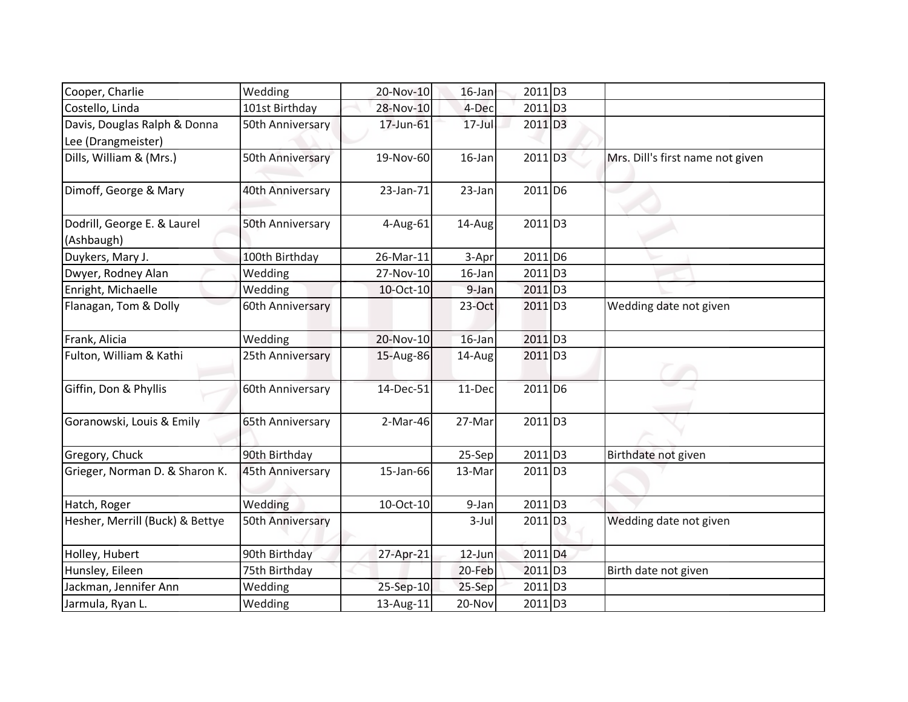| Cooper, Charlie                                    | Wedding          | 20-Nov-10  | $16$ -Jan  | 2011 D3               |                                  |
|----------------------------------------------------|------------------|------------|------------|-----------------------|----------------------------------|
| Costello, Linda                                    | 101st Birthday   | 28-Nov-10  | 4-Dec      | 2011 D3               |                                  |
| Davis, Douglas Ralph & Donna<br>Lee (Drangmeister) | 50th Anniversary | 17-Jun-61  | $17 -$ Jul | 2011 D3               |                                  |
| Dills, William & (Mrs.)                            | 50th Anniversary | 19-Nov-60  | 16-Jan     | 2011 D3               | Mrs. Dill's first name not given |
| Dimoff, George & Mary                              | 40th Anniversary | 23-Jan-71  | 23-Jan     | $2011$ D6             |                                  |
| Dodrill, George E. & Laurel<br>(Ashbaugh)          | 50th Anniversary | 4-Aug-61   | 14-Aug     | 2011 D3               |                                  |
| Duykers, Mary J.                                   | 100th Birthday   | 26-Mar-11  | 3-Apr      | 2011 D6               |                                  |
| Dwyer, Rodney Alan                                 | Wedding          | 27-Nov-10  | 16-Jan     | 2011 D3               |                                  |
| Enright, Michaelle                                 | Wedding          | 10-Oct-10  | 9-Jan      | 2011 D3               |                                  |
| Flanagan, Tom & Dolly                              | 60th Anniversary |            | $23-Oct$   | $2011$ D <sub>3</sub> | Wedding date not given           |
| Frank, Alicia                                      | Wedding          | 20-Nov-10  | $16$ -Jan  | 2011 D3               |                                  |
| Fulton, William & Kathi                            | 25th Anniversary | 15-Aug-86  | 14-Aug     | 2011 D3               |                                  |
| Giffin, Don & Phyllis                              | 60th Anniversary | 14-Dec-51  | 11-Dec     | 2011 D6               |                                  |
| Goranowski, Louis & Emily                          | 65th Anniversary | $2-Mar-46$ | 27-Mar     | 2011 D3               |                                  |
| Gregory, Chuck                                     | 90th Birthday    |            | 25-Sep     | $2011$ D <sub>3</sub> | Birthdate not given              |
| Grieger, Norman D. & Sharon K.                     | 45th Anniversary | 15-Jan-66  | 13-Mar     | $2011$ D <sub>3</sub> |                                  |
| Hatch, Roger                                       | Wedding          | 10-Oct-10  | 9-Jan      | 2011 D3               |                                  |
| Hesher, Merrill (Buck) & Bettye                    | 50th Anniversary |            | $3-Jul$    | 2011 D3               | Wedding date not given           |
| Holley, Hubert                                     | 90th Birthday    | 27-Apr-21  | 12-Jun     | 2011 D4               |                                  |
| Hunsley, Eileen                                    | 75th Birthday    |            | 20-Feb     | 2011 D3               | Birth date not given             |
| Jackman, Jennifer Ann                              | Wedding          | 25-Sep-10  | 25-Sep     | 2011 D3               |                                  |
| Jarmula, Ryan L.                                   | Wedding          | 13-Aug-11  | 20-Nov     | 2011 D3               |                                  |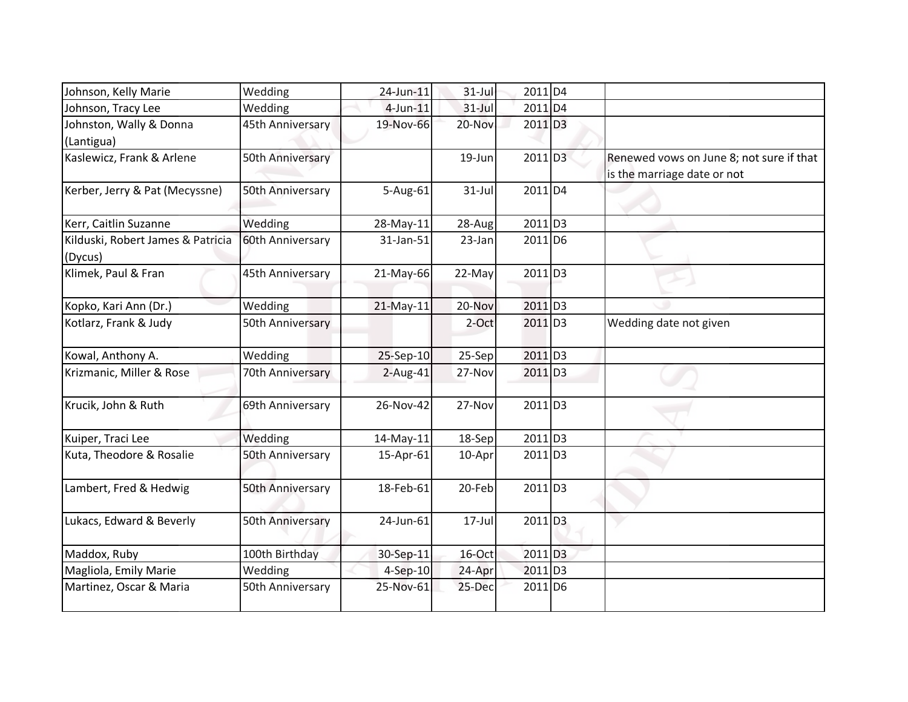| Johnson, Kelly Marie                         | Wedding          | 24-Jun-11   | $31$ -Jul  | 2011 D4               |                                                                         |
|----------------------------------------------|------------------|-------------|------------|-----------------------|-------------------------------------------------------------------------|
| Johnson, Tracy Lee                           | Wedding          | $4$ -Jun-11 | $31$ -Jul  | 2011 D4               |                                                                         |
| Johnston, Wally & Donna<br>(Lantigua)        | 45th Anniversary | 19-Nov-66   | 20-Nov     | 2011 D3               |                                                                         |
| Kaslewicz, Frank & Arlene                    | 50th Anniversary |             | 19-Jun     | 2011 D3               | Renewed vows on June 8; not sure if that<br>is the marriage date or not |
| Kerber, Jerry & Pat (Mecyssne)               | 50th Anniversary | 5-Aug-61    | $31$ -Jul  | 2011 D4               |                                                                         |
| Kerr, Caitlin Suzanne                        | Wedding          | 28-May-11   | 28-Aug     | 2011 D3               |                                                                         |
| Kilduski, Robert James & Patricia<br>(Dycus) | 60th Anniversary | 31-Jan-51   | 23-Jan     | 2011 D <sub>6</sub>   |                                                                         |
| Klimek, Paul & Fran                          | 45th Anniversary | 21-May-66   | 22-May     | $2011$ D3             |                                                                         |
| Kopko, Kari Ann (Dr.)                        | Wedding          | 21-May-11   | 20-Nov     | $2011$ D <sub>3</sub> |                                                                         |
| Kotlarz, Frank & Judy                        | 50th Anniversary |             | 2-Oct      | 2011 D3               | Wedding date not given                                                  |
| Kowal, Anthony A.                            | Wedding          | 25-Sep-10   | 25-Sep     | $2011$ D <sub>3</sub> |                                                                         |
| Krizmanic, Miller & Rose                     | 70th Anniversary | $2-Aug-41$  | 27-Nov     | 2011 D3               |                                                                         |
| Krucik, John & Ruth                          | 69th Anniversary | 26-Nov-42   | 27-Nov     | 2011 D3               |                                                                         |
| Kuiper, Traci Lee                            | Wedding          | 14-May-11   | 18-Sep     | 2011 D3               |                                                                         |
| Kuta, Theodore & Rosalie                     | 50th Anniversary | 15-Apr-61   | 10-Apr     | 2011 D3               |                                                                         |
| Lambert, Fred & Hedwig                       | 50th Anniversary | 18-Feb-61   | 20-Feb     | $2011$ D3             |                                                                         |
| Lukacs, Edward & Beverly                     | 50th Anniversary | 24-Jun-61   | $17 -$ Jul | $2011$ D <sub>3</sub> |                                                                         |
| Maddox, Ruby                                 | 100th Birthday   | 30-Sep-11   | 16-Oct     | 2011 D3               |                                                                         |
| Magliola, Emily Marie                        | Wedding          | $4-Sep-10$  | 24-Apr     | $2011$ D3             |                                                                         |
| Martinez, Oscar & Maria                      | 50th Anniversary | 25-Nov-61   | 25-Dec     | 2011 D <sub>6</sub>   |                                                                         |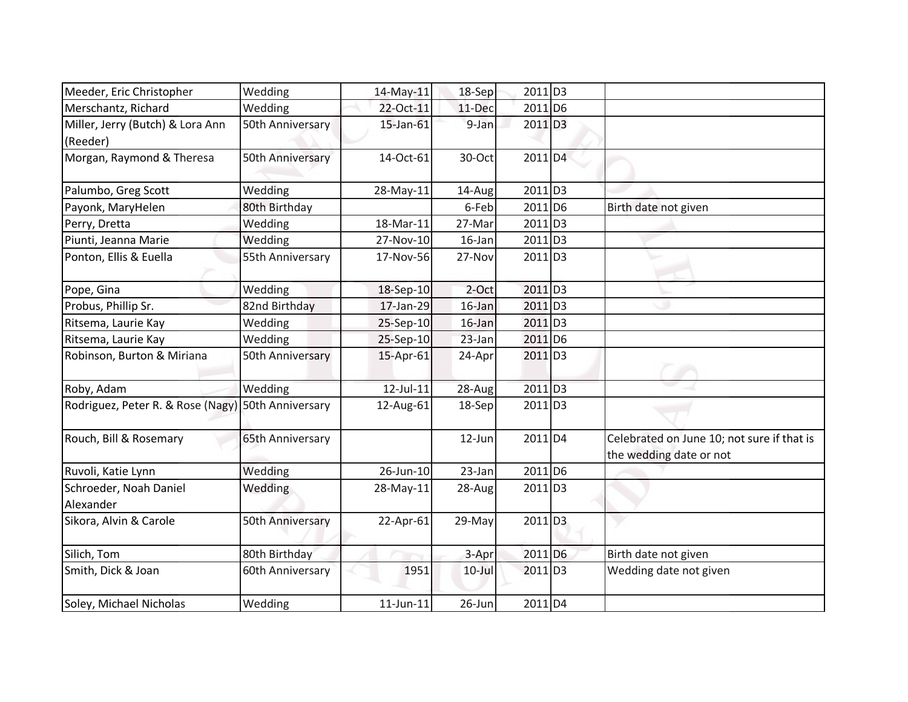| Meeder, Eric Christopher                     | Wedding          | 14-May-11       | 18-Sep    | 2011 D3               |                                                                       |
|----------------------------------------------|------------------|-----------------|-----------|-----------------------|-----------------------------------------------------------------------|
| Merschantz, Richard                          | Wedding          | 22-Oct-11       | 11-Dec    | 2011 D6               |                                                                       |
| Miller, Jerry (Butch) & Lora Ann<br>(Reeder) | 50th Anniversary | 15-Jan-61       | 9-Jan     | $2011$ D <sub>3</sub> |                                                                       |
| Morgan, Raymond & Theresa                    | 50th Anniversary | 14-Oct-61       | 30-Oct    | $2011$ D <sub>4</sub> |                                                                       |
| Palumbo, Greg Scott                          | Wedding          | 28-May-11       | 14-Aug    | $2011$ D <sub>3</sub> |                                                                       |
| Payonk, MaryHelen                            | 80th Birthday    |                 | 6-Feb     | 2011 D6               | Birth date not given                                                  |
| Perry, Dretta                                | Wedding          | 18-Mar-11       | 27-Mar    | $2011$ D <sub>3</sub> |                                                                       |
| Piunti, Jeanna Marie                         | Wedding          | 27-Nov-10       | 16-Jan    | 2011 D3               |                                                                       |
| Ponton, Ellis & Euella                       | 55th Anniversary | 17-Nov-56       | 27-Nov    | $2011$ D <sub>3</sub> |                                                                       |
| Pope, Gina                                   | Wedding          | 18-Sep-10       | 2-Oct     | 2011 D3               |                                                                       |
| Probus, Phillip Sr.                          | 82nd Birthday    | 17-Jan-29       | $16$ -Jan | $2011$ D3             |                                                                       |
| Ritsema, Laurie Kay                          | Wedding          | 25-Sep-10       | $16$ -Jan | $2011$ D <sub>3</sub> |                                                                       |
| Ritsema, Laurie Kay                          | Wedding          | 25-Sep-10       | 23-Jan    | $2011$ D <sub>6</sub> |                                                                       |
| Robinson, Burton & Miriana                   | 50th Anniversary | 15-Apr-61       | 24-Apr    | $2011$ D <sub>3</sub> |                                                                       |
| Roby, Adam                                   | Wedding          | $12$ -Jul- $11$ | $28-Aug$  | $2011$ D <sub>3</sub> |                                                                       |
| Rodriguez, Peter R. & Rose (Nagy)            | 50th Anniversary | 12-Aug-61       | $18-Sep$  | $2011$ D <sub>3</sub> |                                                                       |
| Rouch, Bill & Rosemary                       | 65th Anniversary |                 | 12-Jun    | $2011\overline{D4}$   | Celebrated on June 10; not sure if that is<br>the wedding date or not |
| Ruvoli, Katie Lynn                           | Wedding          | 26-Jun-10       | 23-Jan    | 2011 D6               |                                                                       |
| Schroeder, Noah Daniel<br>Alexander          | Wedding          | 28-May-11       | 28-Aug    | $2011$ D <sub>3</sub> |                                                                       |
| Sikora, Alvin & Carole                       | 50th Anniversary | 22-Apr-61       | 29-May    | 2011 D3               |                                                                       |
| Silich, Tom                                  | 80th Birthday    |                 | 3-Apr     | 2011 D <sub>6</sub>   | Birth date not given                                                  |
| Smith, Dick & Joan                           | 60th Anniversary | 1951            | $10$ -Jul | 2011 D3               | Wedding date not given                                                |
| Soley, Michael Nicholas                      | Wedding          | $11$ -Jun- $11$ | 26-Jun    | 2011 D4               |                                                                       |